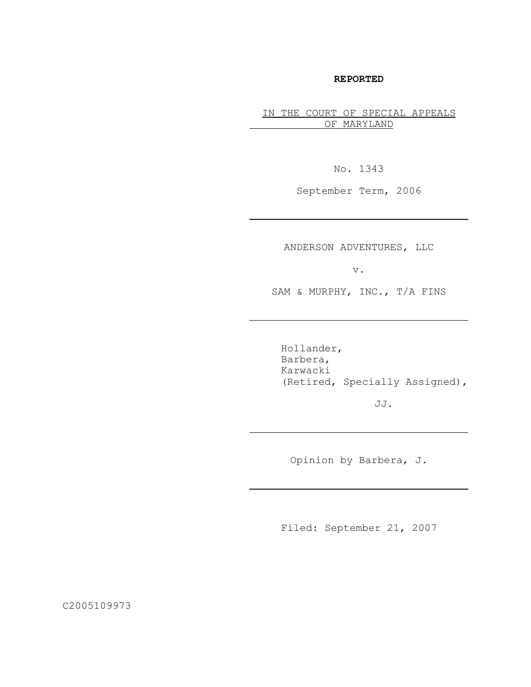# **REPORTED**

IN THE COURT OF SPECIAL APPEALS OF MARYLAND

No. 1343

September Term, 2006

ANDERSON ADVENTURES, LLC

v.

SAM & MURPHY, INC., T/A FINS

Hollander, Barbera, Karwacki (Retired, Specially Assigned),

JJ.

Opinion by Barbera, J.

Filed: September 21, 2007

C2005109973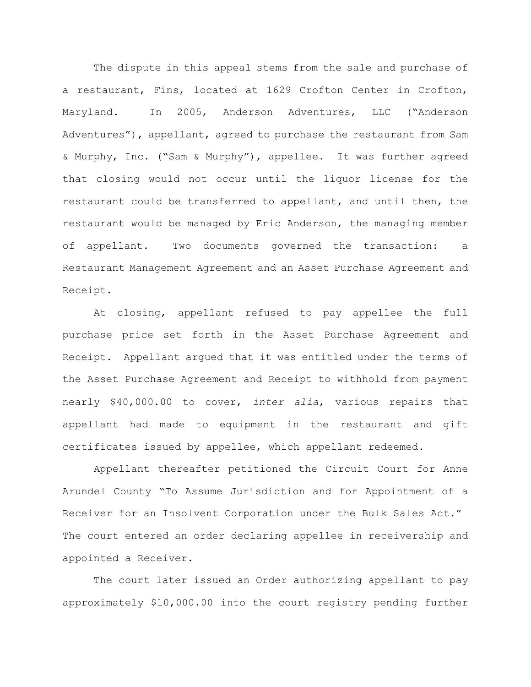The dispute in this appeal stems from the sale and purchase of a restaurant, Fins, located at 1629 Crofton Center in Crofton, Maryland. In 2005, Anderson Adventures, LLC ("Anderson Adventures"), appellant, agreed to purchase the restaurant from Sam & Murphy, Inc. ("Sam & Murphy"), appellee. It was further agreed that closing would not occur until the liquor license for the restaurant could be transferred to appellant, and until then, the restaurant would be managed by Eric Anderson, the managing member of appellant. Two documents governed the transaction: a Restaurant Management Agreement and an Asset Purchase Agreement and Receipt.

At closing, appellant refused to pay appellee the full purchase price set forth in the Asset Purchase Agreement and Receipt. Appellant argued that it was entitled under the terms of the Asset Purchase Agreement and Receipt to withhold from payment nearly \$40,000.00 to cover, *inter alia*, various repairs that appellant had made to equipment in the restaurant and gift certificates issued by appellee, which appellant redeemed.

Appellant thereafter petitioned the Circuit Court for Anne Arundel County "To Assume Jurisdiction and for Appointment of a Receiver for an Insolvent Corporation under the Bulk Sales Act." The court entered an order declaring appellee in receivership and appointed a Receiver.

The court later issued an Order authorizing appellant to pay approximately \$10,000.00 into the court registry pending further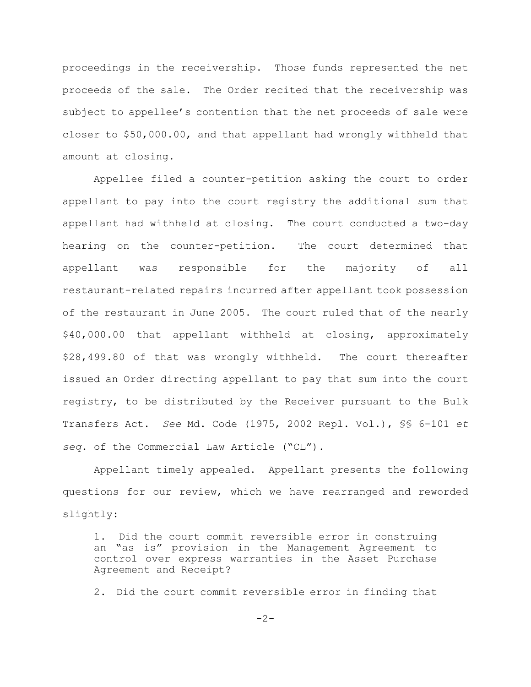proceedings in the receivership. Those funds represented the net proceeds of the sale. The Order recited that the receivership was subject to appellee's contention that the net proceeds of sale were closer to \$50,000.00, and that appellant had wrongly withheld that amount at closing.

Appellee filed a counter-petition asking the court to order appellant to pay into the court registry the additional sum that appellant had withheld at closing. The court conducted a two-day hearing on the counter-petition. The court determined that appellant was responsible for the majority of all restaurant-related repairs incurred after appellant took possession of the restaurant in June 2005. The court ruled that of the nearly \$40,000.00 that appellant withheld at closing, approximately \$28,499.80 of that was wrongly withheld. The court thereafter issued an Order directing appellant to pay that sum into the court registry, to be distributed by the Receiver pursuant to the Bulk Transfers Act. *See* Md. Code (1975, 2002 Repl. Vol.), §§ 6-101 *et seq.* of the Commercial Law Article ("CL").

Appellant timely appealed. Appellant presents the following questions for our review, which we have rearranged and reworded slightly:

1. Did the court commit reversible error in construing an "as is" provision in the Management Agreement to control over express warranties in the Asset Purchase Agreement and Receipt?

2. Did the court commit reversible error in finding that

 $-2-$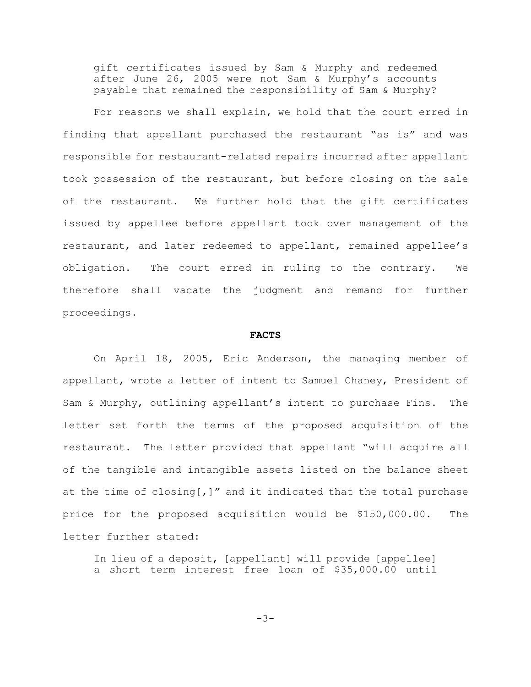gift certificates issued by Sam & Murphy and redeemed after June 26, 2005 were not Sam & Murphy's accounts payable that remained the responsibility of Sam & Murphy?

For reasons we shall explain, we hold that the court erred in finding that appellant purchased the restaurant "as is" and was responsible for restaurant-related repairs incurred after appellant took possession of the restaurant, but before closing on the sale of the restaurant. We further hold that the gift certificates issued by appellee before appellant took over management of the restaurant, and later redeemed to appellant, remained appellee's obligation. The court erred in ruling to the contrary. We therefore shall vacate the judgment and remand for further proceedings.

### **FACTS**

On April 18, 2005, Eric Anderson, the managing member of appellant, wrote a letter of intent to Samuel Chaney, President of Sam & Murphy, outlining appellant's intent to purchase Fins. The letter set forth the terms of the proposed acquisition of the restaurant. The letter provided that appellant "will acquire all of the tangible and intangible assets listed on the balance sheet at the time of closing[,]" and it indicated that the total purchase price for the proposed acquisition would be \$150,000.00. The letter further stated:

In lieu of a deposit, [appellant] will provide [appellee] a short term interest free loan of \$35,000.00 until

 $-3-$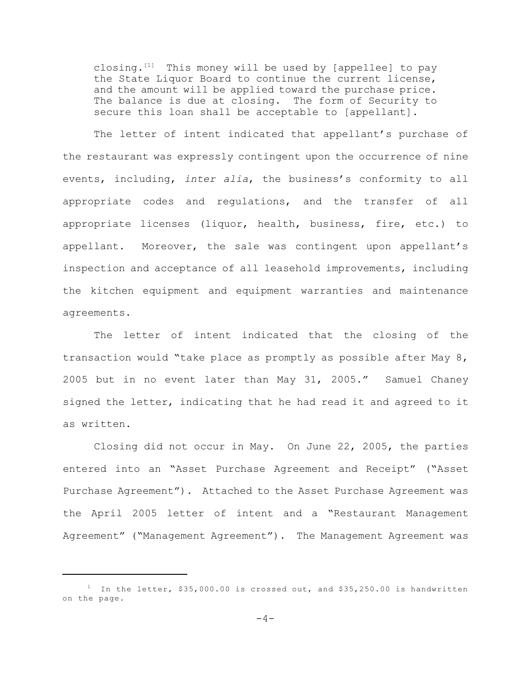closing. $[1]$  This money will be used by [appellee] to pay the State Liquor Board to continue the current license, and the amount will be applied toward the purchase price. The balance is due at closing. The form of Security to secure this loan shall be acceptable to [appellant].

The letter of intent indicated that appellant's purchase of the restaurant was expressly contingent upon the occurrence of nine events, including, *inter alia*, the business's conformity to all appropriate codes and regulations, and the transfer of all appropriate licenses (liquor, health, business, fire, etc.) to appellant. Moreover, the sale was contingent upon appellant's inspection and acceptance of all leasehold improvements, including the kitchen equipment and equipment warranties and maintenance agreements.

The letter of intent indicated that the closing of the transaction would "take place as promptly as possible after May 8, 2005 but in no event later than May 31, 2005." Samuel Chaney signed the letter, indicating that he had read it and agreed to it as written.

Closing did not occur in May. On June 22, 2005, the parties entered into an "Asset Purchase Agreement and Receipt" ("Asset Purchase Agreement"). Attached to the Asset Purchase Agreement was the April 2005 letter of intent and a "Restaurant Management Agreement" ("Management Agreement"). The Management Agreement was

<sup>&</sup>lt;sup>1</sup> In the letter, \$35,000.00 is crossed out, and \$35,250.00 is handwritten on the page.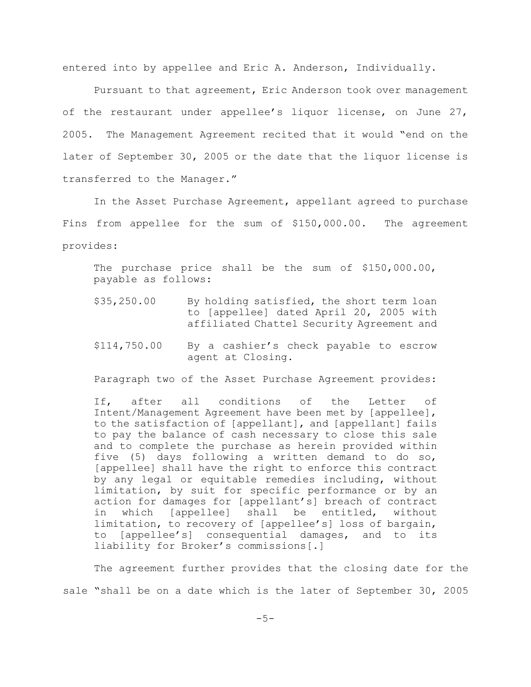entered into by appellee and Eric A. Anderson, Individually.

Pursuant to that agreement, Eric Anderson took over management of the restaurant under appellee's liquor license, on June 27, 2005. The Management Agreement recited that it would "end on the later of September 30, 2005 or the date that the liquor license is transferred to the Manager."

In the Asset Purchase Agreement, appellant agreed to purchase Fins from appellee for the sum of \$150,000.00. The agreement provides:

The purchase price shall be the sum of \$150,000.00, payable as follows:

- \$35,250.00 By holding satisfied, the short term loan to [appellee] dated April 20, 2005 with affiliated Chattel Security Agreement and
- \$114,750.00 By a cashier's check payable to escrow agent at Closing.

Paragraph two of the Asset Purchase Agreement provides:

If, after all conditions of the Letter of Intent/Management Agreement have been met by [appellee], to the satisfaction of [appellant], and [appellant] fails to pay the balance of cash necessary to close this sale and to complete the purchase as herein provided within five (5) days following a written demand to do so, [appellee] shall have the right to enforce this contract by any legal or equitable remedies including, without limitation, by suit for specific performance or by an action for damages for [appellant's] breach of contract in which [appellee] shall be entitled, without limitation, to recovery of [appellee's] loss of bargain, to [appellee's] consequential damages, and to its liability for Broker's commissions[.]

The agreement further provides that the closing date for the sale "shall be on a date which is the later of September 30, 2005

 $-5-$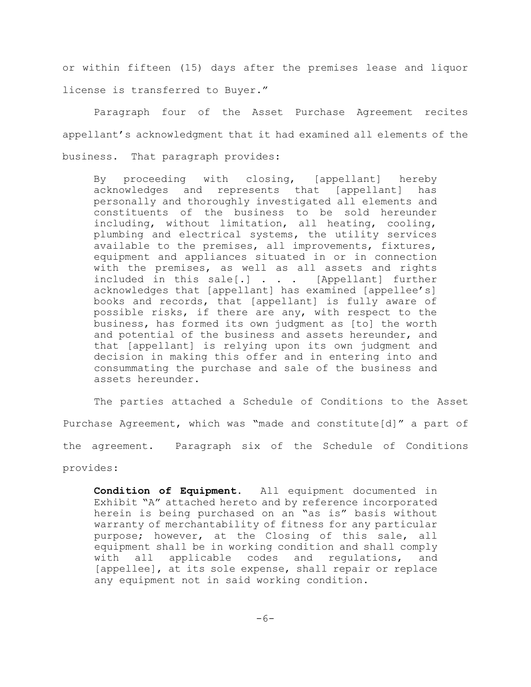or within fifteen (15) days after the premises lease and liquor license is transferred to Buyer."

Paragraph four of the Asset Purchase Agreement recites appellant's acknowledgment that it had examined all elements of the business. That paragraph provides:

By proceeding with closing, [appellant] hereby acknowledges and represents that [appellant] has personally and thoroughly investigated all elements and constituents of the business to be sold hereunder including, without limitation, all heating, cooling, plumbing and electrical systems, the utility services available to the premises, all improvements, fixtures, equipment and appliances situated in or in connection with the premises, as well as all assets and rights included in this sale[.] . . . [Appellant] further acknowledges that [appellant] has examined [appellee's] books and records, that [appellant] is fully aware of possible risks, if there are any, with respect to the business, has formed its own judgment as [to] the worth and potential of the business and assets hereunder, and that [appellant] is relying upon its own judgment and decision in making this offer and in entering into and consummating the purchase and sale of the business and assets hereunder.

The parties attached a Schedule of Conditions to the Asset Purchase Agreement, which was "made and constitute[d]" a part of the agreement. Paragraph six of the Schedule of Conditions provides:

**Condition of Equipment**. All equipment documented in Exhibit "A" attached hereto and by reference incorporated herein is being purchased on an "as is" basis without warranty of merchantability of fitness for any particular purpose; however, at the Closing of this sale, all equipment shall be in working condition and shall comply with all applicable codes and regulations, and [appellee], at its sole expense, shall repair or replace any equipment not in said working condition.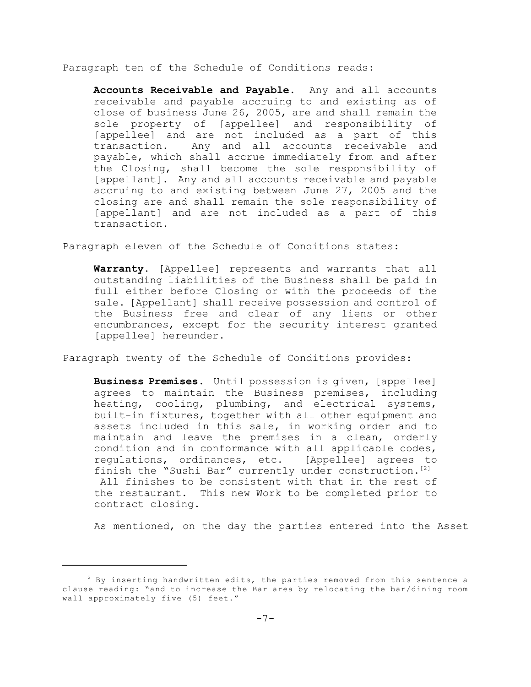Paragraph ten of the Schedule of Conditions reads:

**Accounts Receivable and Payable.** Any and all accounts receivable and payable accruing to and existing as of close of business June 26, 2005, are and shall remain the sole property of [appellee] and responsibility of [appellee] and are not included as a part of this transaction. Any and all accounts receivable and payable, which shall accrue immediately from and after the Closing, shall become the sole responsibility of [appellant]. Any and all accounts receivable and payable accruing to and existing between June 27, 2005 and the closing are and shall remain the sole responsibility of [appellant] and are not included as a part of this transaction.

Paragraph eleven of the Schedule of Conditions states:

**Warranty**. [Appellee] represents and warrants that all outstanding liabilities of the Business shall be paid in full either before Closing or with the proceeds of the sale. [Appellant] shall receive possession and control of the Business free and clear of any liens or other encumbrances, except for the security interest granted [appellee] hereunder.

Paragraph twenty of the Schedule of Conditions provides:

**Business Premises**. Until possession is given, [appellee] agrees to maintain the Business premises, including heating, cooling, plumbing, and electrical systems, built-in fixtures, together with all other equipment and assets included in this sale, in working order and to maintain and leave the premises in a clean, orderly condition and in conformance with all applicable codes, regulations, ordinances, etc. [Appellee] agrees to finish the "Sushi Bar" currently under construction.<sup>[2]</sup> All finishes to be consistent with that in the rest of the restaurant. This new Work to be completed prior to contract closing.

As mentioned, on the day the parties entered into the Asset

 $2$  By inserting handwritten edits, the parties removed from this sentence a clause reading: "and to increase the Bar area by relocating the bar/dining room wall approximately five (5) feet."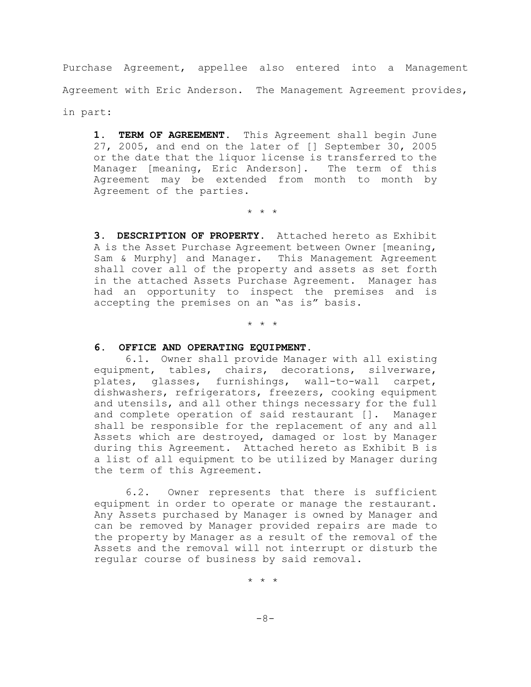Purchase Agreement, appellee also entered into a Management Agreement with Eric Anderson. The Management Agreement provides, in part:

1. TERM OF AGREEMENT. This Agreement shall begin June 27, 2005, and end on the later of [] September 30, 2005 or the date that the liquor license is transferred to the Manager [meaning, Eric Anderson]. The term of this Agreement may be extended from month to month by Agreement of the parties.

\* \* \*

**3. DESCRIPTION OF PROPERTY.** Attached hereto as Exhibit A is the Asset Purchase Agreement between Owner [meaning, Sam & Murphy] and Manager. This Management Agreement shall cover all of the property and assets as set forth in the attached Assets Purchase Agreement. Manager has had an opportunity to inspect the premises and is accepting the premises on an "as is" basis.

\* \* \*

## **6. OFFICE AND OPERATING EQUIPMENT.**

6.1. Owner shall provide Manager with all existing equipment, tables, chairs, decorations, silverware, plates, glasses, furnishings, wall-to-wall carpet, dishwashers, refrigerators, freezers, cooking equipment and utensils, and all other things necessary for the full and complete operation of said restaurant []. Manager shall be responsible for the replacement of any and all Assets which are destroyed, damaged or lost by Manager during this Agreement. Attached hereto as Exhibit B is a list of all equipment to be utilized by Manager during the term of this Agreement.

6.2. Owner represents that there is sufficient equipment in order to operate or manage the restaurant. Any Assets purchased by Manager is owned by Manager and can be removed by Manager provided repairs are made to the property by Manager as a result of the removal of the Assets and the removal will not interrupt or disturb the regular course of business by said removal.

\* \* \*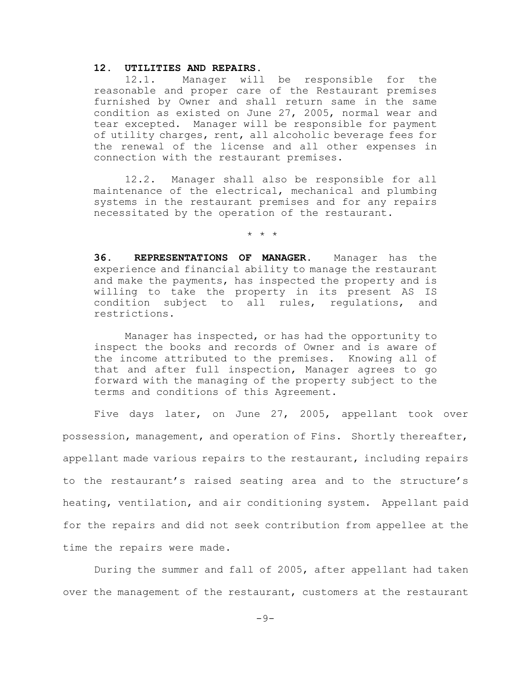## **12. UTILITIES AND REPAIRS.**

12.1. Manager will be responsible for the reasonable and proper care of the Restaurant premises furnished by Owner and shall return same in the same condition as existed on June 27, 2005, normal wear and tear excepted. Manager will be responsible for payment of utility charges, rent, all alcoholic beverage fees for the renewal of the license and all other expenses in connection with the restaurant premises.

12.2. Manager shall also be responsible for all maintenance of the electrical, mechanical and plumbing systems in the restaurant premises and for any repairs necessitated by the operation of the restaurant.

\* \* \*

**36. REPRESENTATIONS OF MANAGER.** Manager has the experience and financial ability to manage the restaurant and make the payments, has inspected the property and is willing to take the property in its present AS IS condition subject to all rules, regulations, and restrictions.

Manager has inspected, or has had the opportunity to inspect the books and records of Owner and is aware of the income attributed to the premises. Knowing all of that and after full inspection, Manager agrees to go forward with the managing of the property subject to the terms and conditions of this Agreement.

Five days later, on June 27, 2005, appellant took over possession, management, and operation of Fins. Shortly thereafter, appellant made various repairs to the restaurant, including repairs to the restaurant's raised seating area and to the structure's heating, ventilation, and air conditioning system. Appellant paid for the repairs and did not seek contribution from appellee at the time the repairs were made.

During the summer and fall of 2005, after appellant had taken over the management of the restaurant, customers at the restaurant

 $-9-$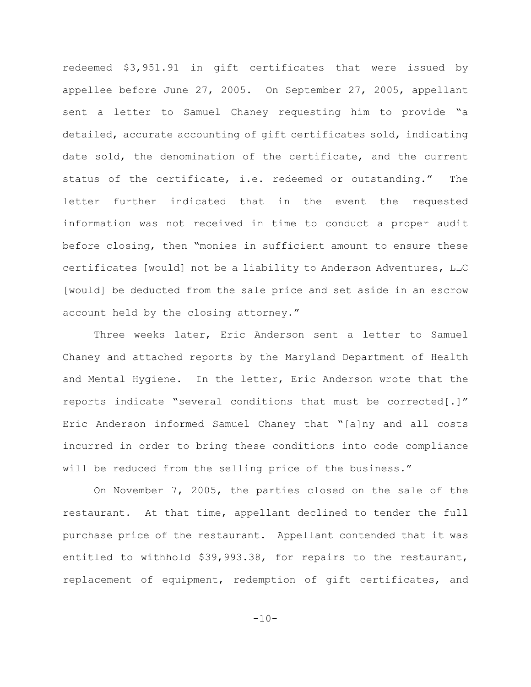redeemed \$3,951.91 in gift certificates that were issued by appellee before June 27, 2005. On September 27, 2005, appellant sent a letter to Samuel Chaney requesting him to provide "a detailed, accurate accounting of gift certificates sold, indicating date sold, the denomination of the certificate, and the current status of the certificate, i.e. redeemed or outstanding." The letter further indicated that in the event the requested information was not received in time to conduct a proper audit before closing, then "monies in sufficient amount to ensure these certificates [would] not be a liability to Anderson Adventures, LLC [would] be deducted from the sale price and set aside in an escrow account held by the closing attorney."

Three weeks later, Eric Anderson sent a letter to Samuel Chaney and attached reports by the Maryland Department of Health and Mental Hygiene. In the letter, Eric Anderson wrote that the reports indicate "several conditions that must be corrected[.]" Eric Anderson informed Samuel Chaney that "[a]ny and all costs incurred in order to bring these conditions into code compliance will be reduced from the selling price of the business."

On November 7, 2005, the parties closed on the sale of the restaurant. At that time, appellant declined to tender the full purchase price of the restaurant. Appellant contended that it was entitled to withhold \$39,993.38, for repairs to the restaurant, replacement of equipment, redemption of gift certificates, and

 $-10-$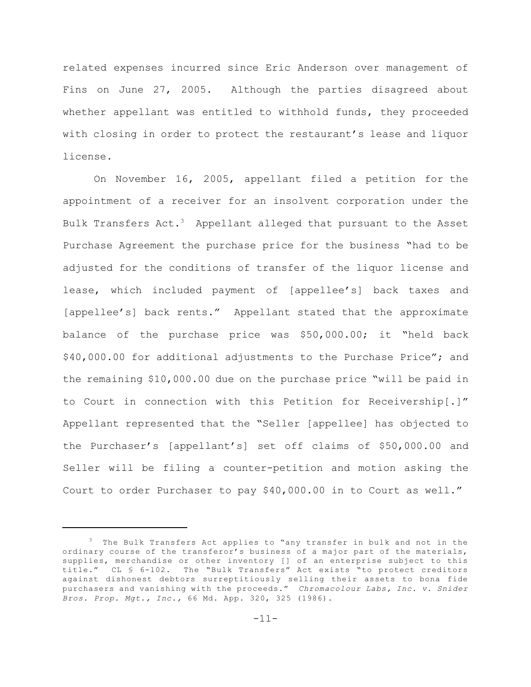related expenses incurred since Eric Anderson over management of Fins on June 27, 2005. Although the parties disagreed about whether appellant was entitled to withhold funds, they proceeded with closing in order to protect the restaurant's lease and liquor license.

On November 16, 2005, appellant filed a petition for the appointment of a receiver for an insolvent corporation under the Bulk Transfers Act.<sup>3</sup> Appellant alleged that pursuant to the Asset Purchase Agreement the purchase price for the business "had to be adjusted for the conditions of transfer of the liquor license and lease, which included payment of [appellee's] back taxes and [appellee's] back rents." Appellant stated that the approximate balance of the purchase price was \$50,000.00; it "held back \$40,000.00 for additional adjustments to the Purchase Price"; and the remaining \$10,000.00 due on the purchase price "will be paid in to Court in connection with this Petition for Receivership[.]" Appellant represented that the "Seller [appellee] has objected to the Purchaser's [appellant's] set off claims of \$50,000.00 and Seller will be filing a counter-petition and motion asking the Court to order Purchaser to pay \$40,000.00 in to Court as well."

 $3$  The Bulk Transfers Act applies to "any transfer in bulk and not in the ordinary course of the transferor's business of a major part of the materials, supplies, merchandise or other inventory [] of an enterprise subject to this title." CL § 6-102. The "Bulk Transfers" Act exists "to protect creditors against dishonest debtors surreptitiously selling their assets to bona fide purchasers and vanishing with the proceeds." *Chromacolour Labs, Inc. v. Snider Bros. Prop. Mgt., Inc.,* 66 Md. App. 320, 325 (1986).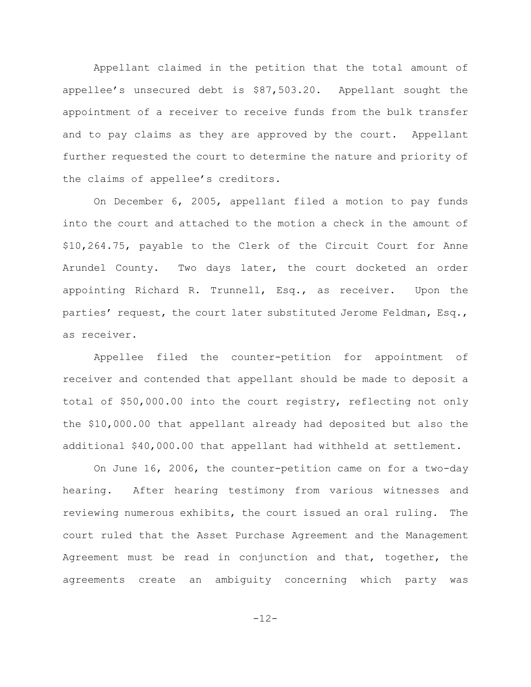Appellant claimed in the petition that the total amount of appellee's unsecured debt is \$87,503.20. Appellant sought the appointment of a receiver to receive funds from the bulk transfer and to pay claims as they are approved by the court. Appellant further requested the court to determine the nature and priority of the claims of appellee's creditors.

On December 6, 2005, appellant filed a motion to pay funds into the court and attached to the motion a check in the amount of \$10,264.75, payable to the Clerk of the Circuit Court for Anne Arundel County. Two days later, the court docketed an order appointing Richard R. Trunnell, Esq., as receiver. Upon the parties' request, the court later substituted Jerome Feldman, Esq., as receiver.

Appellee filed the counter-petition for appointment of receiver and contended that appellant should be made to deposit a total of \$50,000.00 into the court registry, reflecting not only the \$10,000.00 that appellant already had deposited but also the additional \$40,000.00 that appellant had withheld at settlement.

 On June 16, 2006, the counter-petition came on for a two-day hearing. After hearing testimony from various witnesses and reviewing numerous exhibits, the court issued an oral ruling. The court ruled that the Asset Purchase Agreement and the Management Agreement must be read in conjunction and that, together, the agreements create an ambiguity concerning which party was

-12-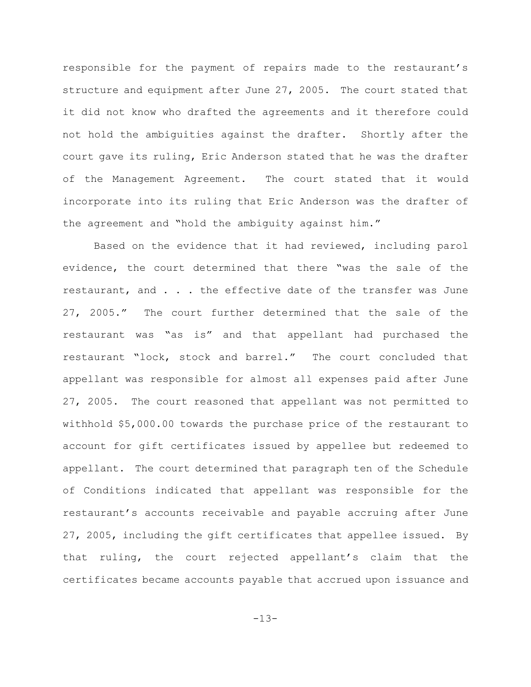responsible for the payment of repairs made to the restaurant's structure and equipment after June 27, 2005. The court stated that it did not know who drafted the agreements and it therefore could not hold the ambiguities against the drafter. Shortly after the court gave its ruling, Eric Anderson stated that he was the drafter of the Management Agreement. The court stated that it would incorporate into its ruling that Eric Anderson was the drafter of the agreement and "hold the ambiguity against him."

Based on the evidence that it had reviewed, including parol evidence, the court determined that there "was the sale of the restaurant, and . . . the effective date of the transfer was June 27, 2005." The court further determined that the sale of the restaurant was "as is" and that appellant had purchased the restaurant "lock, stock and barrel." The court concluded that appellant was responsible for almost all expenses paid after June 27, 2005. The court reasoned that appellant was not permitted to withhold \$5,000.00 towards the purchase price of the restaurant to account for gift certificates issued by appellee but redeemed to appellant. The court determined that paragraph ten of the Schedule of Conditions indicated that appellant was responsible for the restaurant's accounts receivable and payable accruing after June 27, 2005, including the gift certificates that appellee issued. By that ruling, the court rejected appellant's claim that the certificates became accounts payable that accrued upon issuance and

-13-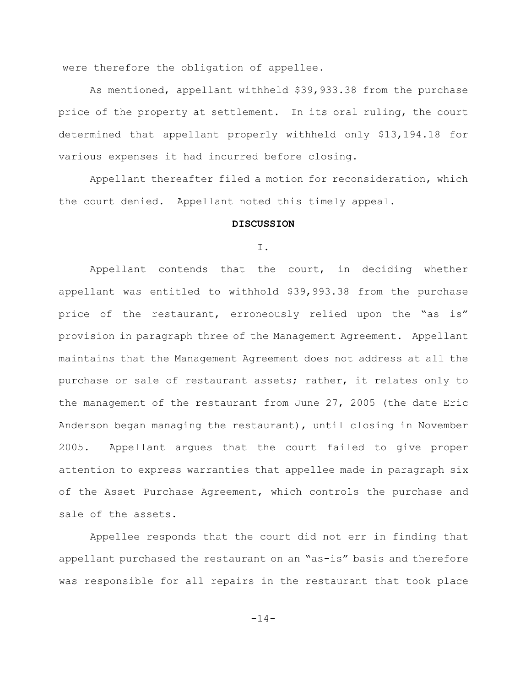were therefore the obligation of appellee.

As mentioned, appellant withheld \$39,933.38 from the purchase price of the property at settlement. In its oral ruling, the court determined that appellant properly withheld only \$13,194.18 for various expenses it had incurred before closing.

Appellant thereafter filed a motion for reconsideration, which the court denied. Appellant noted this timely appeal.

### **DISCUSSION**

#### I.

Appellant contends that the court, in deciding whether appellant was entitled to withhold \$39,993.38 from the purchase price of the restaurant, erroneously relied upon the "as is" provision in paragraph three of the Management Agreement. Appellant maintains that the Management Agreement does not address at all the purchase or sale of restaurant assets; rather, it relates only to the management of the restaurant from June 27, 2005 (the date Eric Anderson began managing the restaurant), until closing in November 2005. Appellant argues that the court failed to give proper attention to express warranties that appellee made in paragraph six of the Asset Purchase Agreement, which controls the purchase and sale of the assets.

Appellee responds that the court did not err in finding that appellant purchased the restaurant on an "as-is" basis and therefore was responsible for all repairs in the restaurant that took place

-14-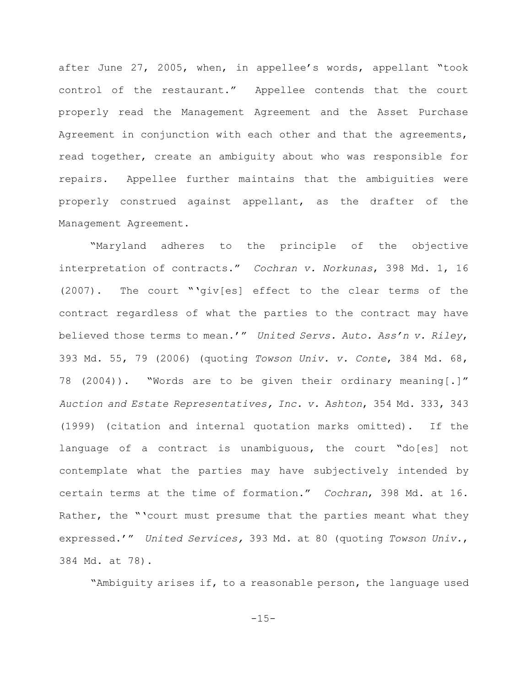after June 27, 2005, when, in appellee's words, appellant "took control of the restaurant." Appellee contends that the court properly read the Management Agreement and the Asset Purchase Agreement in conjunction with each other and that the agreements, read together, create an ambiguity about who was responsible for repairs. Appellee further maintains that the ambiguities were properly construed against appellant, as the drafter of the Management Agreement.

"Maryland adheres to the principle of the objective interpretation of contracts." *Cochran v. Norkunas*, 398 Md. 1, 16 (2007). The court "'giv[es] effect to the clear terms of the contract regardless of what the parties to the contract may have believed those terms to mean.'" *United Servs. Auto. Ass'n v. Riley*, 393 Md. 55, 79 (2006) (quoting *Towson Univ. v. Conte*, 384 Md. 68, 78 (2004)). "Words are to be given their ordinary meaning[.]" *Auction and Estate Representatives, Inc. v. Ashton*, 354 Md. 333, 343 (1999) (citation and internal quotation marks omitted). If the language of a contract is unambiguous, the court "do[es] not contemplate what the parties may have subjectively intended by certain terms at the time of formation." *Cochran*, 398 Md. at 16. Rather, the "'court must presume that the parties meant what they expressed.'" *United Services,* 393 Md. at 80 (quoting *Towson Univ.*, 384 Md. at 78).

"Ambiguity arises if, to a reasonable person, the language used

 $-15-$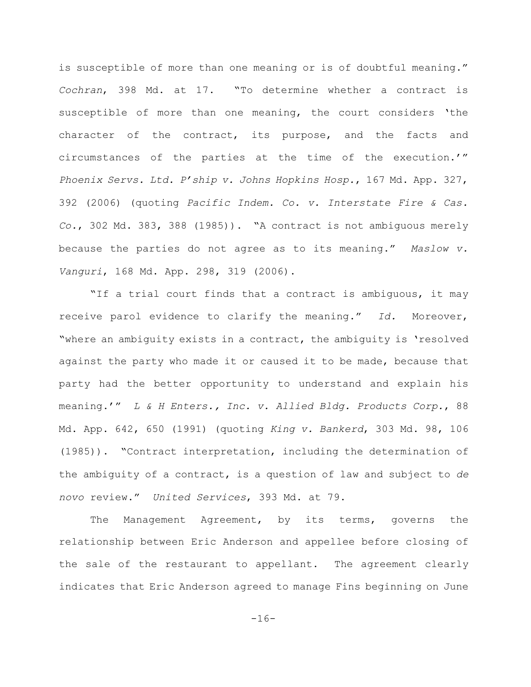is susceptible of more than one meaning or is of doubtful meaning." *Cochran*, 398 Md. at 17. "To determine whether a contract is susceptible of more than one meaning, the court considers 'the character of the contract, its purpose, and the facts and circumstances of the parties at the time of the execution.'" *Phoenix Servs. Ltd. P'ship v. Johns Hopkins Hosp.*, 167 Md. App. 327, 392 (2006) (quoting *Pacific Indem. Co. v. Interstate Fire & Cas. Co.*, 302 Md. 383, 388 (1985)). "A contract is not ambiguous merely because the parties do not agree as to its meaning." *Maslow v. Vanguri*, 168 Md. App. 298, 319 (2006).

"If a trial court finds that a contract is ambiguous, it may receive parol evidence to clarify the meaning." *Id.* Moreover, "where an ambiguity exists in a contract, the ambiguity is 'resolved against the party who made it or caused it to be made, because that party had the better opportunity to understand and explain his meaning.'" *L & H Enters., Inc. v. Allied Bldg. Products Corp.*, 88 Md. App. 642, 650 (1991) (quoting *King v. Bankerd*, 303 Md. 98, 106 (1985)). "Contract interpretation, including the determination of the ambiguity of a contract, is a question of law and subject to *de novo* review." *United Services*, 393 Md. at 79.

The Management Agreement, by its terms, governs the relationship between Eric Anderson and appellee before closing of the sale of the restaurant to appellant. The agreement clearly indicates that Eric Anderson agreed to manage Fins beginning on June

-16-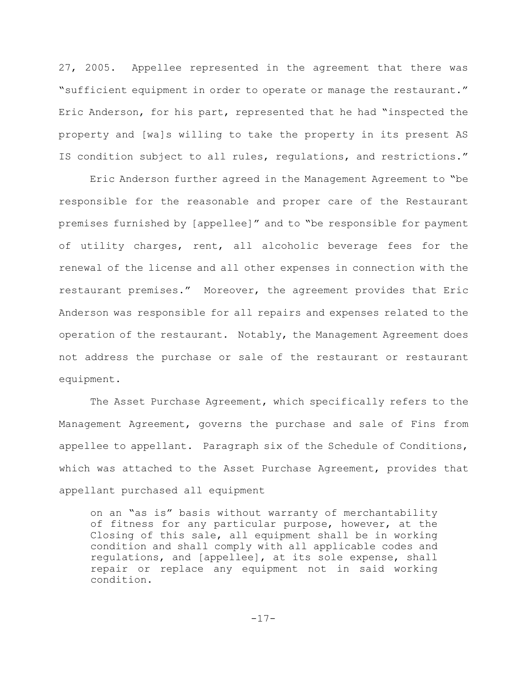27, 2005. Appellee represented in the agreement that there was "sufficient equipment in order to operate or manage the restaurant." Eric Anderson, for his part, represented that he had "inspected the property and [wa]s willing to take the property in its present AS IS condition subject to all rules, regulations, and restrictions."

Eric Anderson further agreed in the Management Agreement to "be responsible for the reasonable and proper care of the Restaurant premises furnished by [appellee]" and to "be responsible for payment of utility charges, rent, all alcoholic beverage fees for the renewal of the license and all other expenses in connection with the restaurant premises." Moreover, the agreement provides that Eric Anderson was responsible for all repairs and expenses related to the operation of the restaurant. Notably, the Management Agreement does not address the purchase or sale of the restaurant or restaurant equipment.

The Asset Purchase Agreement, which specifically refers to the Management Agreement, governs the purchase and sale of Fins from appellee to appellant. Paragraph six of the Schedule of Conditions, which was attached to the Asset Purchase Agreement, provides that appellant purchased all equipment

on an "as is" basis without warranty of merchantability of fitness for any particular purpose, however, at the Closing of this sale, all equipment shall be in working condition and shall comply with all applicable codes and regulations, and [appellee], at its sole expense, shall repair or replace any equipment not in said working condition.

$$
-17-
$$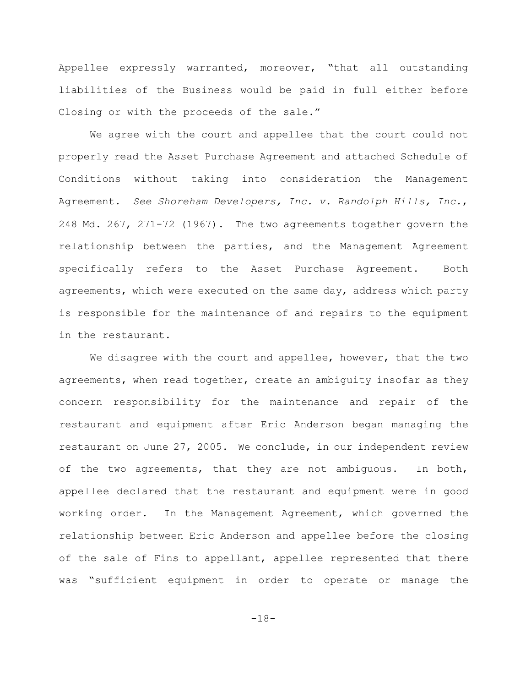Appellee expressly warranted, moreover, "that all outstanding liabilities of the Business would be paid in full either before Closing or with the proceeds of the sale."

We agree with the court and appellee that the court could not properly read the Asset Purchase Agreement and attached Schedule of Conditions without taking into consideration the Management Agreement. *See Shoreham Developers, Inc. v. Randolph Hills, Inc.*, 248 Md. 267, 271-72 (1967). The two agreements together govern the relationship between the parties, and the Management Agreement specifically refers to the Asset Purchase Agreement. Both agreements, which were executed on the same day, address which party is responsible for the maintenance of and repairs to the equipment in the restaurant.

We disagree with the court and appellee, however, that the two agreements, when read together, create an ambiguity insofar as they concern responsibility for the maintenance and repair of the restaurant and equipment after Eric Anderson began managing the restaurant on June 27, 2005. We conclude, in our independent review of the two agreements, that they are not ambiguous. In both, appellee declared that the restaurant and equipment were in good working order. In the Management Agreement, which governed the relationship between Eric Anderson and appellee before the closing of the sale of Fins to appellant, appellee represented that there was "sufficient equipment in order to operate or manage the

-18-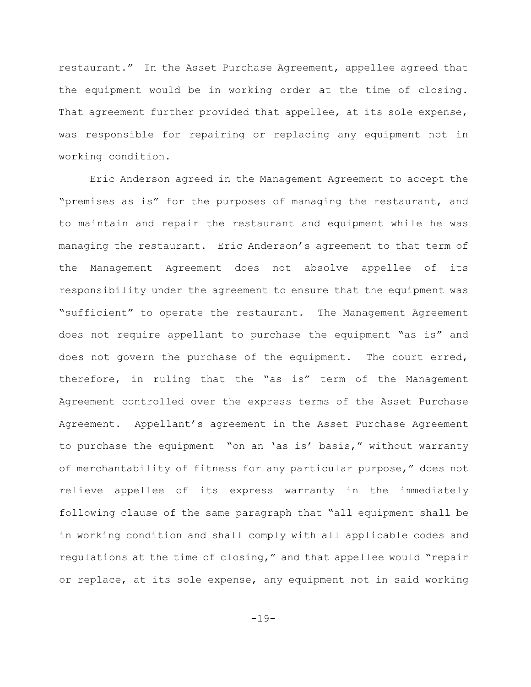restaurant." In the Asset Purchase Agreement, appellee agreed that the equipment would be in working order at the time of closing. That agreement further provided that appellee, at its sole expense, was responsible for repairing or replacing any equipment not in working condition.

Eric Anderson agreed in the Management Agreement to accept the "premises as is" for the purposes of managing the restaurant, and to maintain and repair the restaurant and equipment while he was managing the restaurant. Eric Anderson's agreement to that term of the Management Agreement does not absolve appellee of its responsibility under the agreement to ensure that the equipment was "sufficient" to operate the restaurant. The Management Agreement does not require appellant to purchase the equipment "as is" and does not govern the purchase of the equipment. The court erred, therefore, in ruling that the "as is" term of the Management Agreement controlled over the express terms of the Asset Purchase Agreement. Appellant's agreement in the Asset Purchase Agreement to purchase the equipment "on an 'as is' basis," without warranty of merchantability of fitness for any particular purpose," does not relieve appellee of its express warranty in the immediately following clause of the same paragraph that "all equipment shall be in working condition and shall comply with all applicable codes and regulations at the time of closing," and that appellee would "repair or replace, at its sole expense, any equipment not in said working

-19-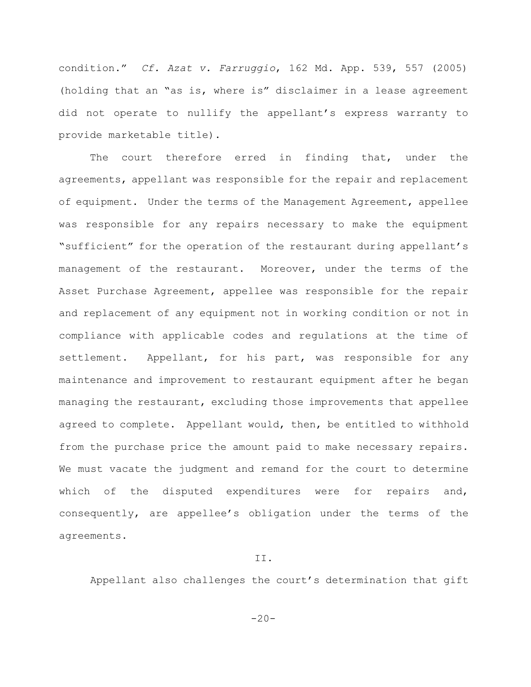condition." *Cf. Azat v. Farruggio*, 162 Md. App. 539, 557 (2005) (holding that an "as is, where is" disclaimer in a lease agreement did not operate to nullify the appellant's express warranty to provide marketable title).

The court therefore erred in finding that, under the agreements, appellant was responsible for the repair and replacement of equipment. Under the terms of the Management Agreement, appellee was responsible for any repairs necessary to make the equipment "sufficient" for the operation of the restaurant during appellant's management of the restaurant. Moreover, under the terms of the Asset Purchase Agreement, appellee was responsible for the repair and replacement of any equipment not in working condition or not in compliance with applicable codes and regulations at the time of settlement. Appellant, for his part, was responsible for any maintenance and improvement to restaurant equipment after he began managing the restaurant, excluding those improvements that appellee agreed to complete. Appellant would, then, be entitled to withhold from the purchase price the amount paid to make necessary repairs. We must vacate the judgment and remand for the court to determine which of the disputed expenditures were for repairs and, consequently, are appellee's obligation under the terms of the agreements.

## II.

Appellant also challenges the court's determination that gift

 $-20-$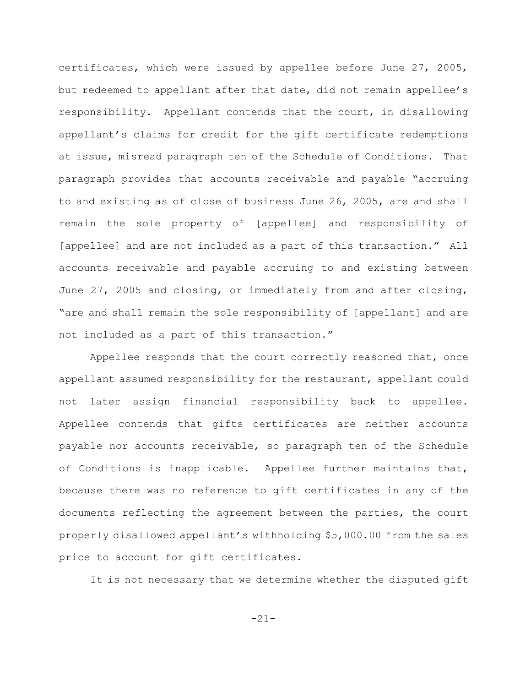certificates, which were issued by appellee before June 27, 2005, but redeemed to appellant after that date, did not remain appellee's responsibility. Appellant contends that the court, in disallowing appellant's claims for credit for the gift certificate redemptions at issue, misread paragraph ten of the Schedule of Conditions. That paragraph provides that accounts receivable and payable "accruing to and existing as of close of business June 26, 2005, are and shall remain the sole property of [appellee] and responsibility of [appellee] and are not included as a part of this transaction." All accounts receivable and payable accruing to and existing between June 27, 2005 and closing, or immediately from and after closing, "are and shall remain the sole responsibility of [appellant] and are not included as a part of this transaction."

Appellee responds that the court correctly reasoned that, once appellant assumed responsibility for the restaurant, appellant could not later assign financial responsibility back to appellee. Appellee contends that gifts certificates are neither accounts payable nor accounts receivable, so paragraph ten of the Schedule of Conditions is inapplicable. Appellee further maintains that, because there was no reference to gift certificates in any of the documents reflecting the agreement between the parties, the court properly disallowed appellant's withholding \$5,000.00 from the sales price to account for gift certificates.

It is not necessary that we determine whether the disputed gift

-21-